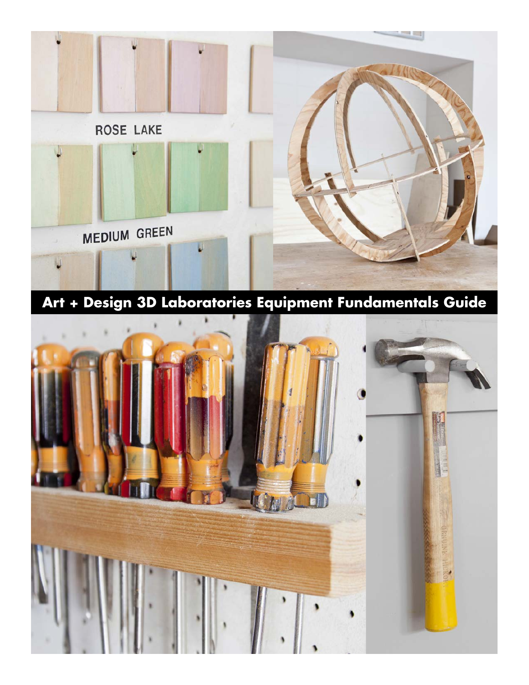

**Art + Design 3D Laboratories Equipment Fundamentals Guide**

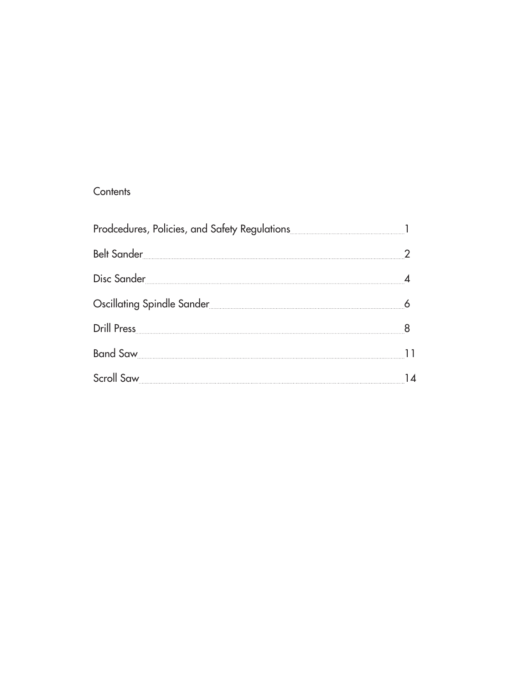#### **Contents**

| Belt Sander 22                                                                                                 |  |
|----------------------------------------------------------------------------------------------------------------|--|
| Disc Sander 4                                                                                                  |  |
| Oscillating Spindle Sander [11] And The Little School of Scillating Spindle Sander [11] And The Little Science |  |
|                                                                                                                |  |
| Band Saw                                                                                                       |  |
| Scroll Saw 14                                                                                                  |  |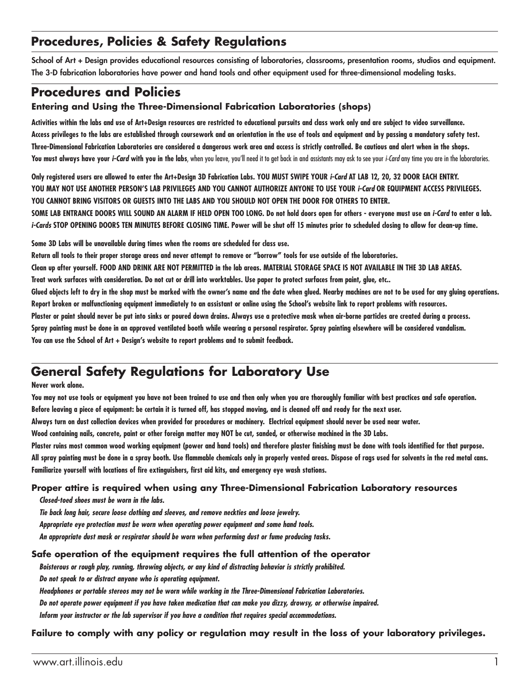### **Procedures, Policies & Safety Regulations**

School of Art + Design provides educational resources consisting of laboratories, classrooms, presentation rooms, studios and equipment. The 3-D fabrication laboratories have power and hand tools and other equipment used for three-dimensional modeling tasks.

### **Procedures and Policies**

#### **Entering and Using the Three-Dimensional Fabrication Laboratories (shops)**

**Activities within the labs and use of Art+Design resources are restricted to educational pursuits and class work only and are subject to video surveillance. Access privileges to the labs are established through coursework and an orientation in the use of tools and equipment and by passing a mandatory safety test. Three-Dimensional Fabrication Laboratories are considered a dangerous work area and access is strictly controlled. Be cautious and alert when in the shops. You must always have your** *i-Card* **with you in the labs**, when you leave, you'll need it to get back in and assistants may ask to see your *i-Card* any time you are in the laboratories.

**Only registered users are allowed to enter the Art+Design 3D Fabrication Labs. YOU MUST SWIPE YOUR** *i-Card* **AT LAB 12, 20, 32 DOOR EACH ENTRY. YOU MAY NOT USE ANOTHER PERSON'S LAB PRIVILEGES AND YOU CANNOT AUTHORIZE ANYONE TO USE YOUR** *i-Card* **OR EQUIPMENT ACCESS PRIVILEGES. YOU CANNOT BRING VISITORS OR GUESTS INTO THE LABS AND YOU SHOULD NOT OPEN THE DOOR FOR OTHERS TO ENTER. SOME LAB ENTRANCE DOORS WILL SOUND AN ALARM IF HELD OPEN TOO LONG. Do not hold doors open for others - everyone must use an** *i-Card* **to enter a lab.** 

*i-Cards* **STOP OPENING DOORS TEN MINUTES BEFORE CLOSING TIME. Power will be shut off 15 minutes prior to scheduled closing to allow for clean-up time.**

**Some 3D Labs will be unavailable during times when the rooms are scheduled for class use.**

**Return all tools to their proper storage areas and never attempt to remove or "borrow" tools for use outside of the laboratories.**

**Clean up after yourself. FOOD AND DRINK ARE NOT PERMITTED in the lab areas. MATERIAL STORAGE SPACE IS NOT AVAILABLE IN THE 3D LAB AREAS.**

**Treat work surfaces with consideration. Do not cut or drill into worktables. Use paper to protect surfaces from paint, glue, etc..**

**Glued objects left to dry in the shop must be marked with the owner's name and the date when glued. Nearby machines are not to be used for any gluing operations. Report broken or malfunctioning equipment immediately to an assistant or online using the School's website link to report problems with resources.**

**Plaster or paint should never be put into sinks or poured down drains. Always use a protective mask when air-borne particles are created during a process.**

**Spray painting must be done in an approved ventilated booth while wearing a personal respirator. Spray painting elsewhere will be considered vandalism.**

**You can use the School of Art + Design's website to report problems and to submit feedback.**

#### **General Safety Regulations for Laboratory Use**

#### **Never work alone.**

**You may not use tools or equipment you have not been trained to use and then only when you are thoroughly familiar with best practices and safe operation. Before leaving a piece of equipment: be certain it is turned off, has stopped moving, and is cleaned off and ready for the next user.**

**Always turn on dust collection devices when provided for procedures or machinery. Electrical equipment should never be used near water.**

**Wood containing nails, concrete, paint or other foreign matter may NOT be cut, sanded, or otherwise machined in the 3D Labs.**

**Plaster ruins most common wood working equipment (power and hand tools) and therefore plaster finishing must be done with tools identified for that purpose.**

**All spray painting must be done in a spray booth. Use flammable chemicals only in properly vented areas. Dispose of rags used for solvents in the red metal cans. Familiarize yourself with locations of fire extinguishers, first aid kits, and emergency eye wash stations.**

#### **Proper attire is required when using any Three-Dimensional Fabrication Laboratory resources**

 *Closed-toed shoes must be worn in the labs.*

 *Tie back long hair, secure loose clothing and sleeves, and remove neckties and loose jewelry.*

 *Appropriate eye protection must be worn when operating power equipment and some hand tools.*

 *An appropriate dust mask or respirator should be worn when performing dust or fume producing tasks.*

#### **Safe operation of the equipment requires the full attention of the operator**

 *Boisterous or rough play, running, throwing objects, or any kind of distracting behavior is strictly prohibited.* 

 *Do not speak to or distract anyone who is operating equipment.*

 *Headphones or portable stereos may not be worn while working in the Three-Dimensional Fabrication Laboratories.*

 *Do not operate power equipment if you have taken medication that can make you dizzy, drowsy, or otherwise impaired.*

 *Inform your instructor or the lab supervisor if you have a condition that requires special accommodations.*

**Failure to comply with any policy or regulation may result in the loss of your laboratory privileges.**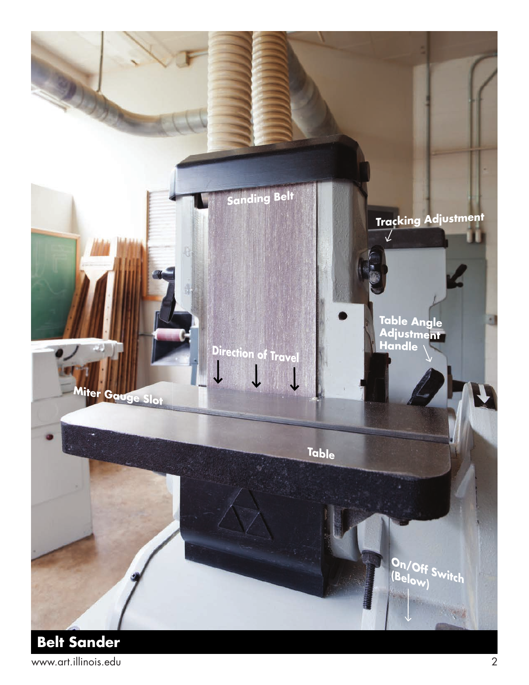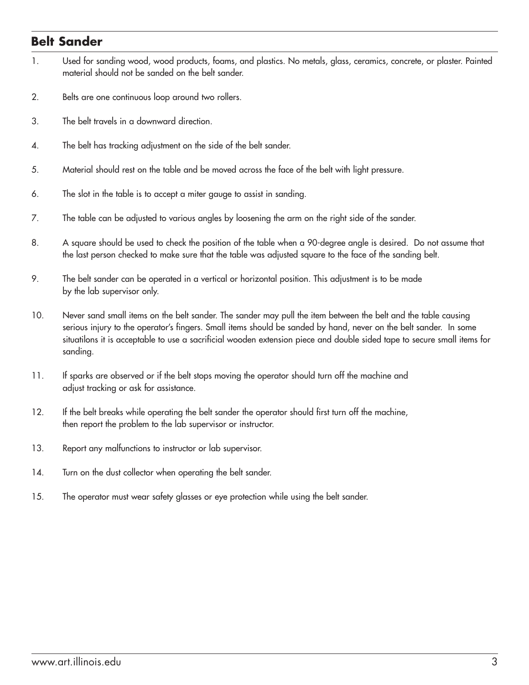#### **Belt Sander**

- 1. Used for sanding wood, wood products, foams, and plastics. No metals, glass, ceramics, concrete, or plaster. Painted material should not be sanded on the belt sander.
- 2. Belts are one continuous loop around two rollers.
- 3. The belt travels in a downward direction.
- 4. The belt has tracking adjustment on the side of the belt sander.
- 5. Material should rest on the table and be moved across the face of the belt with light pressure.
- 6. The slot in the table is to accept a miter gauge to assist in sanding.
- 7. The table can be adjusted to various angles by loosening the arm on the right side of the sander.
- 8. A square should be used to check the position of the table when a 90-degree angle is desired. Do not assume that the last person checked to make sure that the table was adjusted square to the face of the sanding belt.
- 9. The belt sander can be operated in a vertical or horizontal position. This adjustment is to be made by the lab supervisor only.
- 10. Never sand small items on the belt sander. The sander may pull the item between the belt and the table causing serious injury to the operator's fingers. Small items should be sanded by hand, never on the belt sander. In some situatilons it is acceptable to use a sacrificial wooden extension piece and double sided tape to secure small items for sanding.
- 11. If sparks are observed or if the belt stops moving the operator should turn off the machine and adjust tracking or ask for assistance.
- 12. If the belt breaks while operating the belt sander the operator should first turn off the machine, then report the problem to the lab supervisor or instructor.
- 13. Report any malfunctions to instructor or lab supervisor.
- 14. Turn on the dust collector when operating the belt sander.
- 15. The operator must wear safety glasses or eye protection while using the belt sander.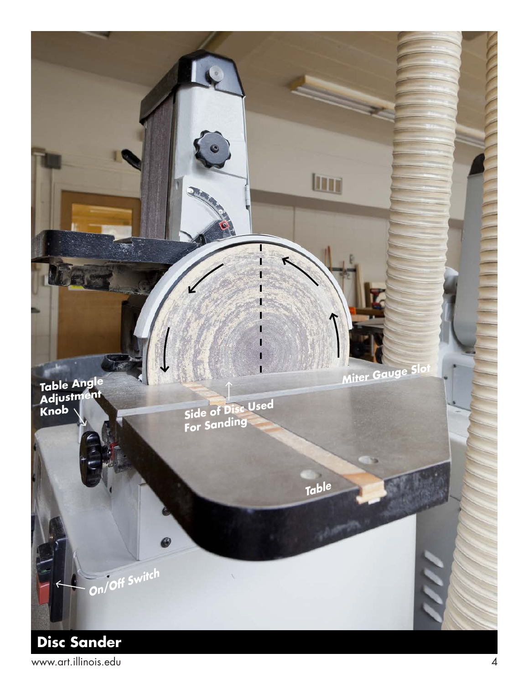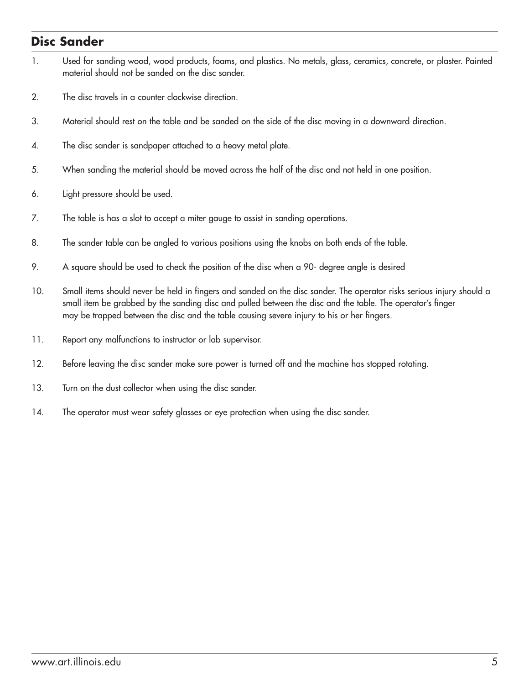#### **Disc Sander**

- 1. Used for sanding wood, wood products, foams, and plastics. No metals, glass, ceramics, concrete, or plaster. Painted material should not be sanded on the disc sander.
- 2. The disc travels in a counter clockwise direction.
- 3. Material should rest on the table and be sanded on the side of the disc moving in a downward direction.
- 4. The disc sander is sandpaper attached to a heavy metal plate.
- 5. When sanding the material should be moved across the half of the disc and not held in one position.
- 6. Light pressure should be used.
- 7. The table is has a slot to accept a miter gauge to assist in sanding operations.
- 8. The sander table can be angled to various positions using the knobs on both ends of the table.
- 9. A square should be used to check the position of the disc when a 90- degree angle is desired
- 10. Small items should never be held in fingers and sanded on the disc sander. The operator risks serious injury should a small item be grabbed by the sanding disc and pulled between the disc and the table. The operator's finger may be trapped between the disc and the table causing severe injury to his or her fingers.
- 11. Report any malfunctions to instructor or lab supervisor.
- 12. Before leaving the disc sander make sure power is turned off and the machine has stopped rotating.
- 13. Turn on the dust collector when using the disc sander.
- 14. The operator must wear safety glasses or eye protection when using the disc sander.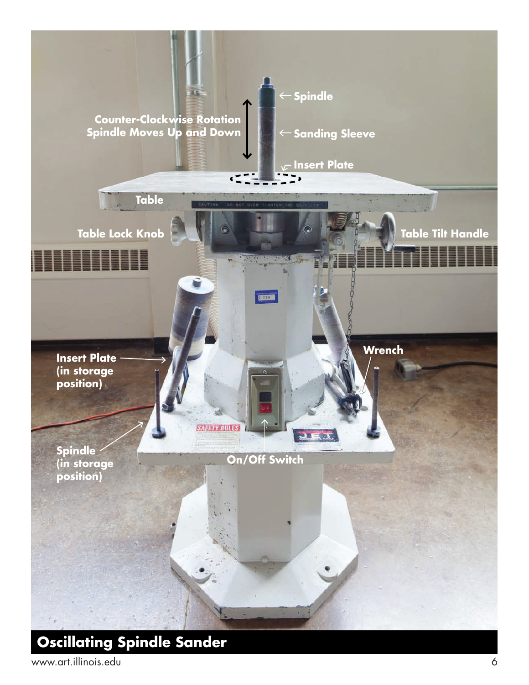![](_page_7_Picture_0.jpeg)

# **Oscillating Spindle Sander**

www.art.illinois.edu 6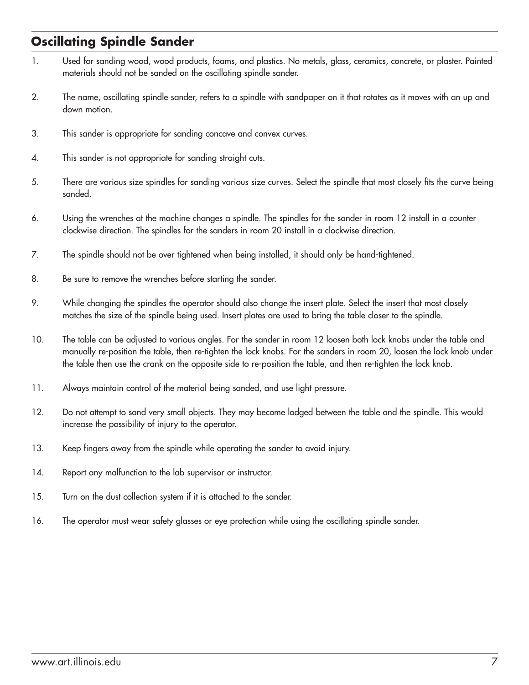## **Oscillating Spindle Sander**

- 1. Used for sanding wood, wood products, foams, and plastics. No metals, glass, ceramics, concrete, or plaster. Painted materials should not be sanded on the oscillating spindle sander.
- 2. The name, oscillating spindle sander, refers to a spindle with sandpaper on it that rotates as it moves with an up and down motion.
- 3. This sander is appropriate for sanding concave and convex curves.
- 4. This sander is not appropriate for sanding straight cuts.
- 5. There are various size spindles for sanding various size curves. Select the spindle that most closely fits the curve being sanded.
- 6. Using the wrenches at the machine changes a spindle. The spindles for the sander in room 12 install in a counter clockwise direction. The spindles for the sanders in room 20 install in a clockwise direction.
- 7. The spindle should not be over tightened when being installed, it should only be hand-tightened.
- 8. Be sure to remove the wrenches before starting the sander.
- 9. While changing the spindles the operator should also change the insert plate. Select the insert that most closely matches the size of the spindle being used. Insert plates are used to bring the table closer to the spindle.
- 10. The table can be adjusted to various angles. For the sander in room 12 loosen both lock knobs under the table and manually re-position the table, then re-tighten the lock knobs. For the sanders in room 20, loosen the lock knob under the table then use the crank on the opposite side to re-position the table, and then re-tighten the lock knob.
- 11. Always maintain control of the material being sanded, and use light pressure.
- 12. Do not attempt to sand very small objects. They may become lodged between the table and the spindle. This would increase the possibility of injury to the operator.
- 13. Keep fingers away from the spindle while operating the sander to avoid injury.
- 14. Report any malfunction to the lab supervisor or instructor.
- 15. Turn on the dust collection system if it is attached to the sander.
- 16. The operator must wear safety glasses or eye protection while using the oscillating spindle sander.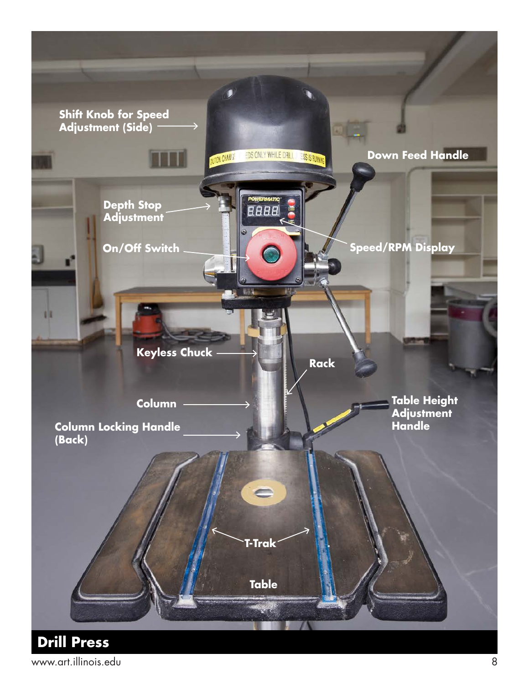![](_page_9_Picture_0.jpeg)

www.art.illinois.edu 8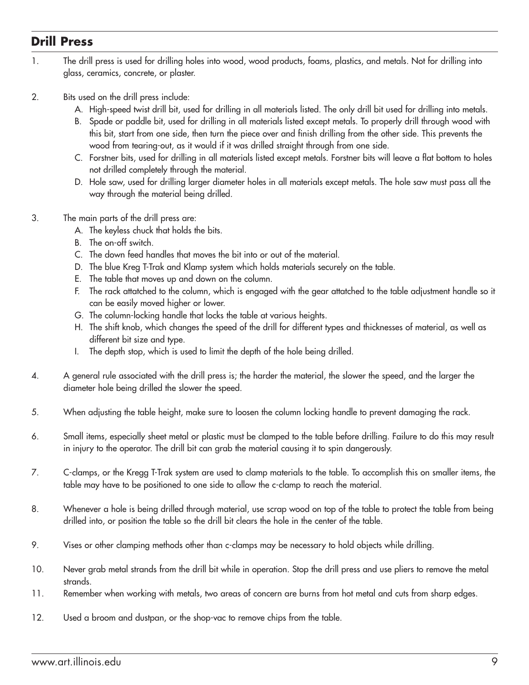#### **Drill Press**

- 1. The drill press is used for drilling holes into wood, wood products, foams, plastics, and metals. Not for drilling into glass, ceramics, concrete, or plaster.
- 2. Bits used on the drill press include:
	- A. High-speed twist drill bit, used for drilling in all materials listed. The only drill bit used for drilling into metals.
	- B. Spade or paddle bit, used for drilling in all materials listed except metals. To properly drill through wood with this bit, start from one side, then turn the piece over and finish drilling from the other side. This prevents the wood from tearing-out, as it would if it was drilled straight through from one side.
	- C. Forstner bits, used for drilling in all materials listed except metals. Forstner bits will leave a flat bottom to holes not drilled completely through the material.
	- D. Hole saw, used for drilling larger diameter holes in all materials except metals. The hole saw must pass all the way through the material being drilled.
- 3. The main parts of the drill press are:
	- A. The keyless chuck that holds the bits.
	- B. The on-off switch.
	- C. The down feed handles that moves the bit into or out of the material.
	- D. The blue Kreg T-Trak and Klamp system which holds materials securely on the table.
	- E. The table that moves up and down on the column.
	- F. The rack attatched to the column, which is engaged with the gear attatched to the table adjustment handle so it can be easily moved higher or lower.
	- G. The column-locking handle that locks the table at various heights.
	- H. The shift knob, which changes the speed of the drill for different types and thicknesses of material, as well as different bit size and type.
	- I. The depth stop, which is used to limit the depth of the hole being drilled.
- 4. A general rule associated with the drill press is; the harder the material, the slower the speed, and the larger the diameter hole being drilled the slower the speed.
- 5. When adjusting the table height, make sure to loosen the column locking handle to prevent damaging the rack.
- 6. Small items, especially sheet metal or plastic must be clamped to the table before drilling. Failure to do this may result in injury to the operator. The drill bit can grab the material causing it to spin dangerously.
- 7. C-clamps, or the Kregg T-Trak system are used to clamp materials to the table. To accomplish this on smaller items, the table may have to be positioned to one side to allow the c-clamp to reach the material.
- 8. Whenever a hole is being drilled through material, use scrap wood on top of the table to protect the table from being drilled into, or position the table so the drill bit clears the hole in the center of the table.
- 9. Vises or other clamping methods other than c-clamps may be necessary to hold objects while drilling.
- 10. Never grab metal strands from the drill bit while in operation. Stop the drill press and use pliers to remove the metal strands.
- 11. Remember when working with metals, two areas of concern are burns from hot metal and cuts from sharp edges.
- 12. Used a broom and dustpan, or the shop-vac to remove chips from the table.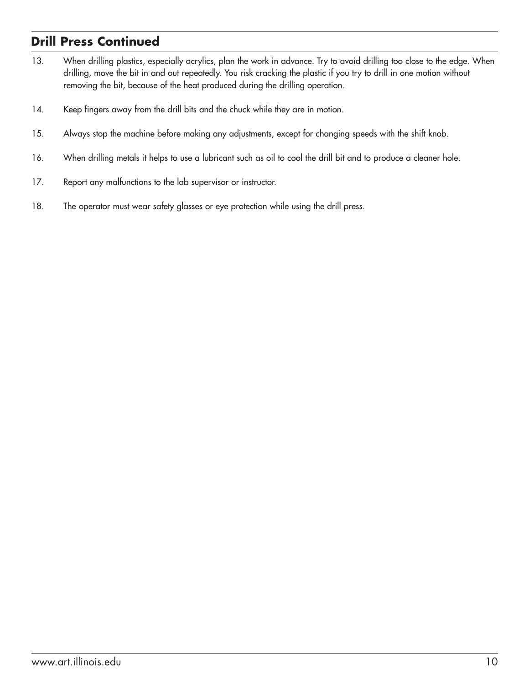### **Drill Press Continued**

- 13. When drilling plastics, especially acrylics, plan the work in advance. Try to avoid drilling too close to the edge. When drilling, move the bit in and out repeatedly. You risk cracking the plastic if you try to drill in one motion without removing the bit, because of the heat produced during the drilling operation.
- 14. Keep fingers away from the drill bits and the chuck while they are in motion.
- 15. Always stop the machine before making any adjustments, except for changing speeds with the shift knob.
- 16. When drilling metals it helps to use a lubricant such as oil to cool the drill bit and to produce a cleaner hole.
- 17. Report any malfunctions to the lab supervisor or instructor.
- 18. The operator must wear safety glasses or eye protection while using the drill press.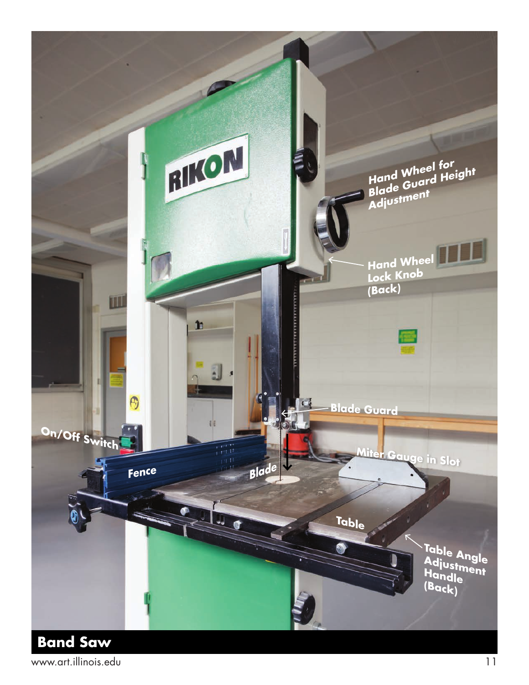![](_page_12_Picture_0.jpeg)

www.art.illinois.edu 11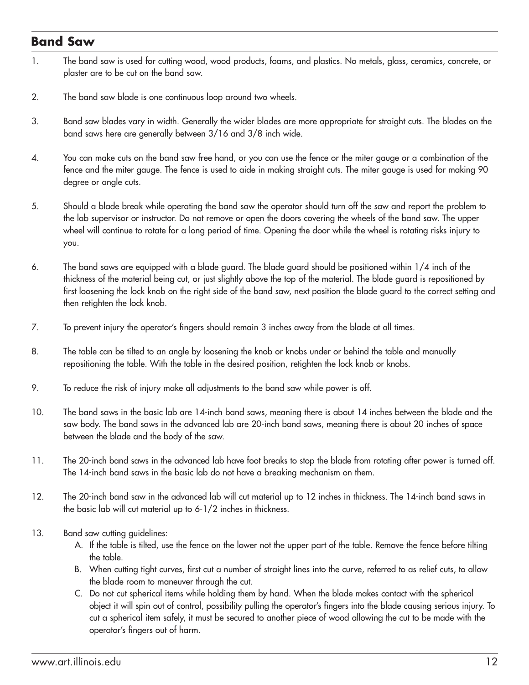#### **Band Saw**

- 1. The band saw is used for cutting wood, wood products, foams, and plastics. No metals, glass, ceramics, concrete, or plaster are to be cut on the band saw.
- 2. The band saw blade is one continuous loop around two wheels.
- 3. Band saw blades vary in width. Generally the wider blades are more appropriate for straight cuts. The blades on the band saws here are generally between 3/16 and 3/8 inch wide.
- 4. You can make cuts on the band saw free hand, or you can use the fence or the miter gauge or a combination of the fence and the miter gauge. The fence is used to aide in making straight cuts. The miter gauge is used for making 90 degree or angle cuts.
- 5. Should a blade break while operating the band saw the operator should turn off the saw and report the problem to the lab supervisor or instructor. Do not remove or open the doors covering the wheels of the band saw. The upper wheel will continue to rotate for a long period of time. Opening the door while the wheel is rotating risks injury to you.
- 6. The band saws are equipped with a blade guard. The blade guard should be positioned within 1/4 inch of the thickness of the material being cut, or just slightly above the top of the material. The blade guard is repositioned by first loosening the lock knob on the right side of the band saw, next position the blade guard to the correct setting and then retighten the lock knob.
- 7. To prevent injury the operator's fingers should remain 3 inches away from the blade at all times.
- 8. The table can be tilted to an angle by loosening the knob or knobs under or behind the table and manually repositioning the table. With the table in the desired position, retighten the lock knob or knobs.
- 9. To reduce the risk of injury make all adjustments to the band saw while power is off.
- 10. The band saws in the basic lab are 14-inch band saws, meaning there is about 14 inches between the blade and the saw body. The band saws in the advanced lab are 20-inch band saws, meaning there is about 20 inches of space between the blade and the body of the saw.
- 11. The 20-inch band saws in the advanced lab have foot breaks to stop the blade from rotating after power is turned off. The 14-inch band saws in the basic lab do not have a breaking mechanism on them.
- 12. The 20-inch band saw in the advanced lab will cut material up to 12 inches in thickness. The 14-inch band saws in the basic lab will cut material up to 6-1/2 inches in thickness.
- 13. Band saw cutting guidelines:
	- A. If the table is tilted, use the fence on the lower not the upper part of the table. Remove the fence before tilting the table.
	- B. When cutting tight curves, first cut a number of straight lines into the curve, referred to as relief cuts, to allow the blade room to maneuver through the cut.
	- C. Do not cut spherical items while holding them by hand. When the blade makes contact with the spherical object it will spin out of control, possibility pulling the operator's fingers into the blade causing serious injury. To cut a spherical item safely, it must be secured to another piece of wood allowing the cut to be made with the operator's fingers out of harm.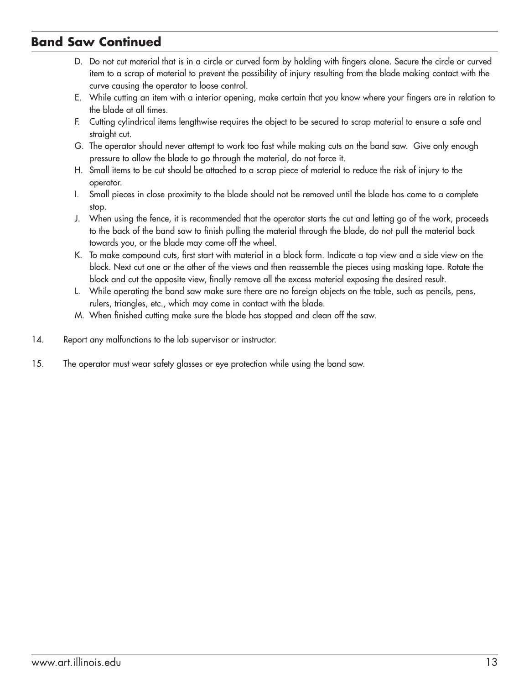#### **Band Saw Continued**

- D. Do not cut material that is in a circle or curved form by holding with fingers alone. Secure the circle or curved item to a scrap of material to prevent the possibility of injury resulting from the blade making contact with the curve causing the operator to loose control.
- E. While cutting an item with a interior opening, make certain that you know where your fingers are in relation to the blade at all times.
- F. Cutting cylindrical items lengthwise requires the object to be secured to scrap material to ensure a safe and straight cut.
- G. The operator should never attempt to work too fast while making cuts on the band saw. Give only enough pressure to allow the blade to go through the material, do not force it.
- H. Small items to be cut should be attached to a scrap piece of material to reduce the risk of injury to the operator.
- I. Small pieces in close proximity to the blade should not be removed until the blade has come to a complete stop.
- J. When using the fence, it is recommended that the operator starts the cut and letting go of the work, proceeds to the back of the band saw to finish pulling the material through the blade, do not pull the material back towards you, or the blade may come off the wheel.
- K. To make compound cuts, first start with material in a block form. Indicate a top view and a side view on the block. Next cut one or the other of the views and then reassemble the pieces using masking tape. Rotate the block and cut the opposite view, finally remove all the excess material exposing the desired result.
- L. While operating the band saw make sure there are no foreign objects on the table, such as pencils, pens, rulers, triangles, etc., which may come in contact with the blade.
- M. When finished cutting make sure the blade has stopped and clean off the saw.
- 14. Report any malfunctions to the lab supervisor or instructor.
- 15. The operator must wear safety glasses or eye protection while using the band saw.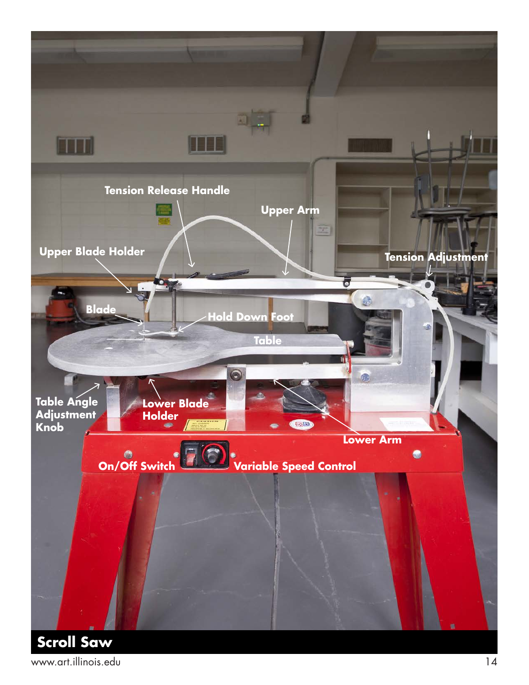![](_page_15_Picture_0.jpeg)